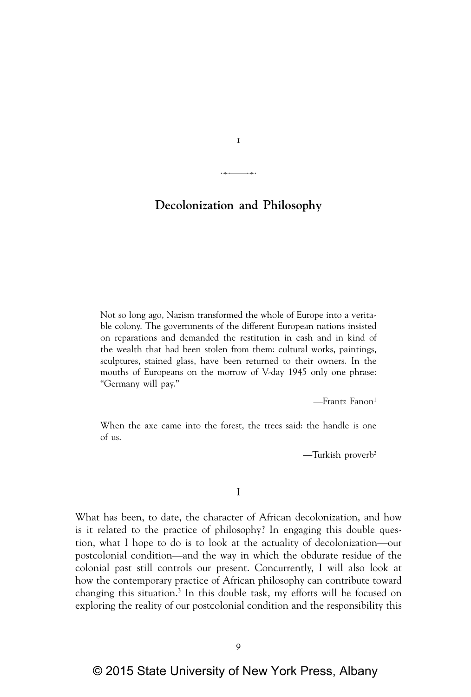## **Decolonization and Philosophy**

--

1

Not so long ago, Nazism transformed the whole of Europe into a veritable colony. The governments of the different European nations insisted on reparations and demanded the restitution in cash and in kind of the wealth that had been stolen from them: cultural works, paintings, sculptures, stained glass, have been returned to their owners. In the mouths of Europeans on the morrow of V-day 1945 only one phrase: "Germany will pay."

 $-$ Frantz Fanon<sup>1</sup>

When the axe came into the forest, the trees said: the handle is one of us.

 $-Turkish$  proverb<sup>2</sup>

**I**

What has been, to date, the character of African decolonization, and how is it related to the practice of philosophy? In engaging this double question, what I hope to do is to look at the actuality of decolonization—our postcolonial condition—and the way in which the obdurate residue of the colonial past still controls our present. Concurrently, I will also look at how the contemporary practice of African philosophy can contribute toward changing this situation.3 In this double task, my efforts will be focused on exploring the reality of our postcolonial condition and the responsibility this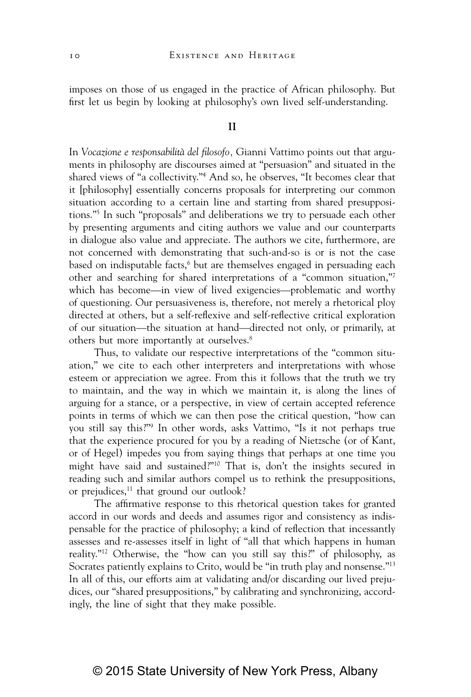imposes on those of us engaged in the practice of African philosophy. But first let us begin by looking at philosophy's own lived self-understanding.

#### **II**

In *Vocazione e responsabilità del filosofo,* Gianni Vattimo points out that arguments in philosophy are discourses aimed at "persuasion" and situated in the shared views of "a collectivity."4 And so, he observes, "It becomes clear that it [philosophy] essentially concerns proposals for interpreting our common situation according to a certain line and starting from shared presuppositions."5 In such "proposals" and deliberations we try to persuade each other by presenting arguments and citing authors we value and our counterparts in dialogue also value and appreciate. The authors we cite, furthermore, are not concerned with demonstrating that such-and-so is or is not the case based on indisputable facts,<sup>6</sup> but are themselves engaged in persuading each other and searching for shared interpretations of a "common situation,"7 which has become—in view of lived exigencies—problematic and worthy of questioning. Our persuasiveness is, therefore, not merely a rhetorical ploy directed at others, but a self-reflexive and self-reflective critical exploration of our situation—the situation at hand—directed not only, or primarily, at others but more importantly at ourselves.8

Thus, to validate our respective interpretations of the "common situation," we cite to each other interpreters and interpretations with whose esteem or appreciation we agree. From this it follows that the truth we try to maintain, and the way in which we maintain it, is along the lines of arguing for a stance, or a perspective, in view of certain accepted reference points in terms of which we can then pose the critical question, "how can you still say this?"9 In other words, asks Vattimo, "Is it not perhaps true that the experience procured for you by a reading of Nietzsche (or of Kant, or of Hegel) impedes you from saying things that perhaps at one time you might have said and sustained?"10 That is, don't the insights secured in reading such and similar authors compel us to rethink the presuppositions, or prejudices,<sup>11</sup> that ground our outlook?

The affirmative response to this rhetorical question takes for granted accord in our words and deeds and assumes rigor and consistency as indispensable for the practice of philosophy; a kind of reflection that incessantly assesses and re-assesses itself in light of "all that which happens in human reality."12 Otherwise, the "how can you still say this?" of philosophy, as Socrates patiently explains to Crito, would be "in truth play and nonsense."13 In all of this, our efforts aim at validating and/or discarding our lived prejudices, our "shared presuppositions," by calibrating and synchronizing, accordingly, the line of sight that they make possible.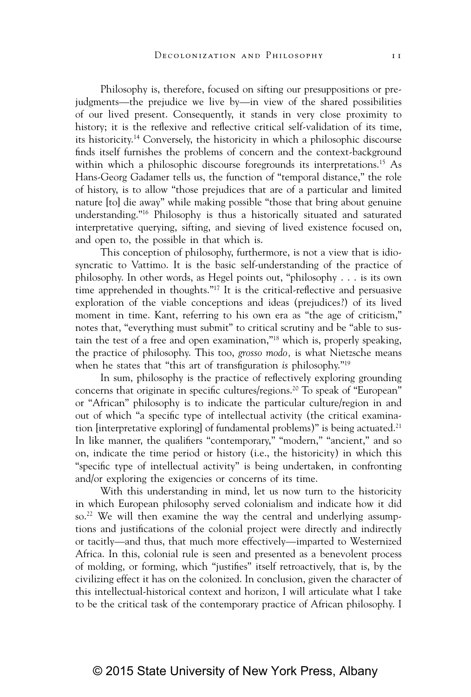Philosophy is, therefore, focused on sifting our presuppositions or prejudgments—the prejudice we live by—in view of the shared possibilities of our lived present. Consequently, it stands in very close proximity to history; it is the reflexive and reflective critical self-validation of its time, its historicity.14 Conversely, the historicity in which a philosophic discourse finds itself furnishes the problems of concern and the context-background within which a philosophic discourse foregrounds its interpretations.<sup>15</sup> As Hans-Georg Gadamer tells us, the function of "temporal distance," the role of history, is to allow "those prejudices that are of a particular and limited nature [to] die away" while making possible "those that bring about genuine understanding."16 Philosophy is thus a historically situated and saturated interpretative querying, sifting, and sieving of lived existence focused on, and open to, the possible in that which is.

This conception of philosophy, furthermore, is not a view that is idiosyncratic to Vattimo. It is the basic self-understanding of the practice of philosophy. In other words, as Hegel points out, "philosophy . . . is its own time apprehended in thoughts."17 It is the critical-reflective and persuasive exploration of the viable conceptions and ideas (prejudices?) of its lived moment in time. Kant, referring to his own era as "the age of criticism," notes that, "everything must submit" to critical scrutiny and be "able to sustain the test of a free and open examination,"<sup>18</sup> which is, properly speaking, the practice of philosophy. This too, *grosso modo,* is what Nietzsche means when he states that "this art of transfiguration *is* philosophy."19

In sum, philosophy is the practice of reflectively exploring grounding concerns that originate in specific cultures/regions.20 To speak of "European" or "African" philosophy is to indicate the particular culture/region in and out of which "a specific type of intellectual activity (the critical examination [interpretative exploring] of fundamental problems)" is being actuated.<sup>21</sup> In like manner, the qualifiers "contemporary," "modern," "ancient," and so on, indicate the time period or history (i.e., the historicity) in which this "specific type of intellectual activity" is being undertaken, in confronting and/or exploring the exigencies or concerns of its time.

With this understanding in mind, let us now turn to the historicity in which European philosophy served colonialism and indicate how it did so.<sup>22</sup> We will then examine the way the central and underlying assumptions and justifications of the colonial project were directly and indirectly or tacitly—and thus, that much more effectively—imparted to Westernized Africa. In this, colonial rule is seen and presented as a benevolent process of molding, or forming, which "justifies" itself retroactively, that is, by the civilizing effect it has on the colonized. In conclusion, given the character of this intellectual-historical context and horizon, I will articulate what I take to be the critical task of the contemporary practice of African philosophy. I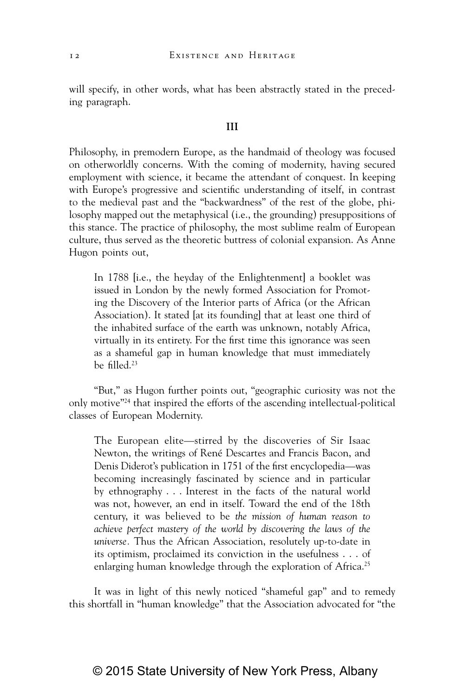will specify, in other words, what has been abstractly stated in the preceding paragraph.

### **III**

Philosophy, in premodern Europe, as the handmaid of theology was focused on otherworldly concerns. With the coming of modernity, having secured employment with science, it became the attendant of conquest. In keeping with Europe's progressive and scientific understanding of itself, in contrast to the medieval past and the "backwardness" of the rest of the globe, philosophy mapped out the metaphysical (i.e., the grounding) presuppositions of this stance. The practice of philosophy, the most sublime realm of European culture, thus served as the theoretic buttress of colonial expansion. As Anne Hugon points out,

In 1788 [i.e., the heyday of the Enlightenment] a booklet was issued in London by the newly formed Association for Promoting the Discovery of the Interior parts of Africa (or the African Association). It stated [at its founding] that at least one third of the inhabited surface of the earth was unknown, notably Africa, virtually in its entirety. For the first time this ignorance was seen as a shameful gap in human knowledge that must immediately be filled.23

"But," as Hugon further points out, "geographic curiosity was not the only motive"24 that inspired the efforts of the ascending intellectual-political classes of European Modernity.

The European elite—stirred by the discoveries of Sir Isaac Newton, the writings of René Descartes and Francis Bacon, and Denis Diderot's publication in 1751 of the first encyclopedia—was becoming increasingly fascinated by science and in particular by ethnography . . . Interest in the facts of the natural world was not, however, an end in itself. Toward the end of the 18th century, it was believed to be *the mission of human reason to achieve perfect mastery of the world by discovering the laws of the universe.* Thus the African Association, resolutely up-to-date in its optimism, proclaimed its conviction in the usefulness . . . of enlarging human knowledge through the exploration of Africa.<sup>25</sup>

It was in light of this newly noticed "shameful gap" and to remedy this shortfall in "human knowledge" that the Association advocated for "the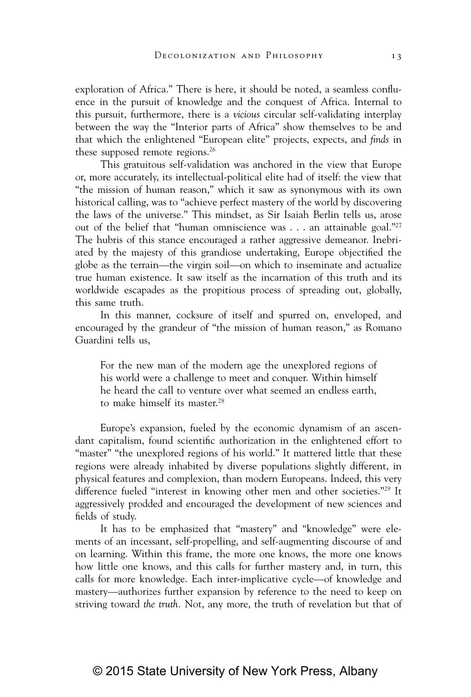exploration of Africa." There is here, it should be noted, a seamless confluence in the pursuit of knowledge and the conquest of Africa. Internal to this pursuit, furthermore, there is a *vicious* circular self-validating interplay between the way the "Interior parts of Africa" show themselves to be and that which the enlightened "European elite" projects, expects, and *finds* in these supposed remote regions.<sup>26</sup>

This gratuitous self-validation was anchored in the view that Europe or, more accurately, its intellectual-political elite had of itself: the view that "the mission of human reason," which it saw as synonymous with its own historical calling, was to "achieve perfect mastery of the world by discovering the laws of the universe." This mindset, as Sir Isaiah Berlin tells us, arose out of the belief that "human omniscience was  $\dots$  an attainable goal."<sup>27</sup> The hubris of this stance encouraged a rather aggressive demeanor. Inebriated by the majesty of this grandiose undertaking, Europe objectified the globe as the terrain—the virgin soil—on which to inseminate and actualize true human existence. It saw itself as the incarnation of this truth and its worldwide escapades as the propitious process of spreading out, globally, this same truth.

In this manner, cocksure of itself and spurred on, enveloped, and encouraged by the grandeur of "the mission of human reason," as Romano Guardini tells us,

For the new man of the modern age the unexplored regions of his world were a challenge to meet and conquer. Within himself he heard the call to venture over what seemed an endless earth, to make himself its master.<sup>28</sup>

Europe's expansion, fueled by the economic dynamism of an ascendant capitalism, found scientific authorization in the enlightened effort to "master" "the unexplored regions of his world." It mattered little that these regions were already inhabited by diverse populations slightly different, in physical features and complexion, than modern Europeans. Indeed, this very difference fueled "interest in knowing other men and other societies."29 It aggressively prodded and encouraged the development of new sciences and fields of study.

It has to be emphasized that "mastery" and "knowledge" were elements of an incessant, self-propelling, and self-augmenting discourse of and on learning. Within this frame, the more one knows, the more one knows how little one knows, and this calls for further mastery and, in turn, this calls for more knowledge. Each inter-implicative cycle—of knowledge and mastery—authorizes further expansion by reference to the need to keep on striving toward *the truth.* Not, any more, the truth of revelation but that of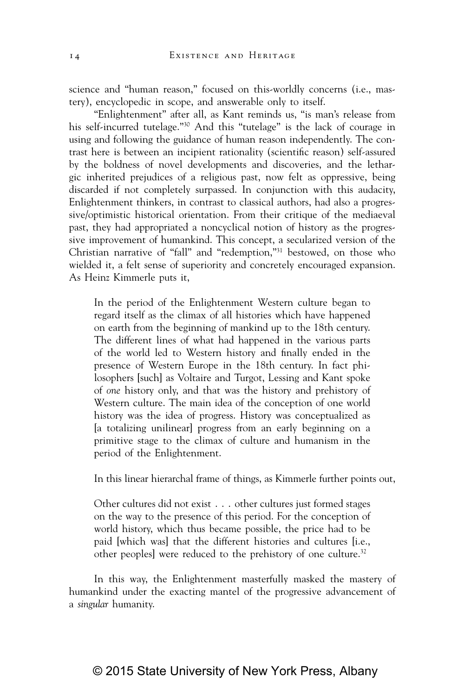science and "human reason," focused on this-worldly concerns (i.e., mastery), encyclopedic in scope, and answerable only to itself.

"Enlightenment" after all, as Kant reminds us, "is man's release from his self-incurred tutelage."<sup>30</sup> And this "tutelage" is the lack of courage in using and following the guidance of human reason independently. The contrast here is between an incipient rationality (scientific reason) self-assured by the boldness of novel developments and discoveries, and the lethargic inherited prejudices of a religious past, now felt as oppressive, being discarded if not completely surpassed. In conjunction with this audacity, Enlightenment thinkers, in contrast to classical authors, had also a progressive/optimistic historical orientation. From their critique of the mediaeval past, they had appropriated a noncyclical notion of history as the progressive improvement of humankind. This concept, a secularized version of the Christian narrative of "fall" and "redemption,"31 bestowed, on those who wielded it, a felt sense of superiority and concretely encouraged expansion. As Heinz Kimmerle puts it,

In the period of the Enlightenment Western culture began to regard itself as the climax of all histories which have happened on earth from the beginning of mankind up to the 18th century. The different lines of what had happened in the various parts of the world led to Western history and finally ended in the presence of Western Europe in the 18th century. In fact philosophers [such] as Voltaire and Turgot, Lessing and Kant spoke of *one* history only, and that was the history and prehistory of Western culture. The main idea of the conception of one world history was the idea of progress. History was conceptualized as [a totalizing unilinear] progress from an early beginning on a primitive stage to the climax of culture and humanism in the period of the Enlightenment.

In this linear hierarchal frame of things, as Kimmerle further points out,

Other cultures did not exist . . . other cultures just formed stages on the way to the presence of this period. For the conception of world history, which thus became possible, the price had to be paid [which was] that the different histories and cultures [i.e., other peoples] were reduced to the prehistory of one culture.<sup>32</sup>

In this way, the Enlightenment masterfully masked the mastery of humankind under the exacting mantel of the progressive advancement of a *singular* humanity.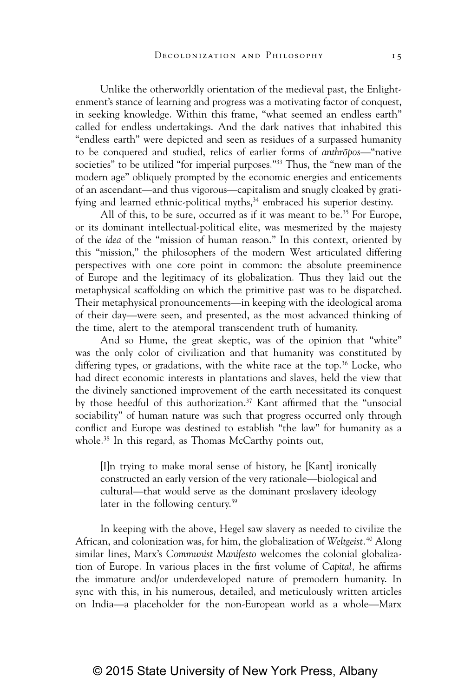Unlike the otherworldly orientation of the medieval past, the Enlightenment's stance of learning and progress was a motivating factor of conquest, in seeking knowledge. Within this frame, "what seemed an endless earth" called for endless undertakings. And the dark natives that inhabited this "endless earth" were depicted and seen as residues of a surpassed humanity to be conquered and studied, relics of earlier forms of *anthrofpos*—"native societies" to be utilized "for imperial purposes."<sup>33</sup> Thus, the "new man of the modern age" obliquely prompted by the economic energies and enticements of an ascendant—and thus vigorous—capitalism and snugly cloaked by gratifying and learned ethnic-political myths, $34$  embraced his superior destiny.

All of this, to be sure, occurred as if it was meant to be.<sup>35</sup> For Europe, or its dominant intellectual-political elite, was mesmerized by the majesty of the *idea* of the "mission of human reason." In this context, oriented by this "mission," the philosophers of the modern West articulated differing perspectives with one core point in common: the absolute preeminence of Europe and the legitimacy of its globalization. Thus they laid out the metaphysical scaffolding on which the primitive past was to be dispatched. Their metaphysical pronouncements—in keeping with the ideological aroma of their day—were seen, and presented, as the most advanced thinking of the time, alert to the atemporal transcendent truth of humanity.

And so Hume, the great skeptic, was of the opinion that "white" was the only color of civilization and that humanity was constituted by differing types, or gradations, with the white race at the top.<sup>36</sup> Locke, who had direct economic interests in plantations and slaves, held the view that the divinely sanctioned improvement of the earth necessitated its conquest by those heedful of this authorization.<sup>37</sup> Kant affirmed that the "unsocial sociability" of human nature was such that progress occurred only through conflict and Europe was destined to establish "the law" for humanity as a whole.<sup>38</sup> In this regard, as Thomas McCarthy points out,

[I]n trying to make moral sense of history, he [Kant] ironically constructed an early version of the very rationale—biological and cultural—that would serve as the dominant proslavery ideology later in the following century.<sup>39</sup>

In keeping with the above, Hegel saw slavery as needed to civilize the African, and colonization was, for him, the globalization of *Weltgeist.*40 Along similar lines, Marx's *Communist Manifesto* welcomes the colonial globalization of Europe. In various places in the first volume of *Capital,* he affirms the immature and/or underdeveloped nature of premodern humanity. In sync with this, in his numerous, detailed, and meticulously written articles on India—a placeholder for the non-European world as a whole—Marx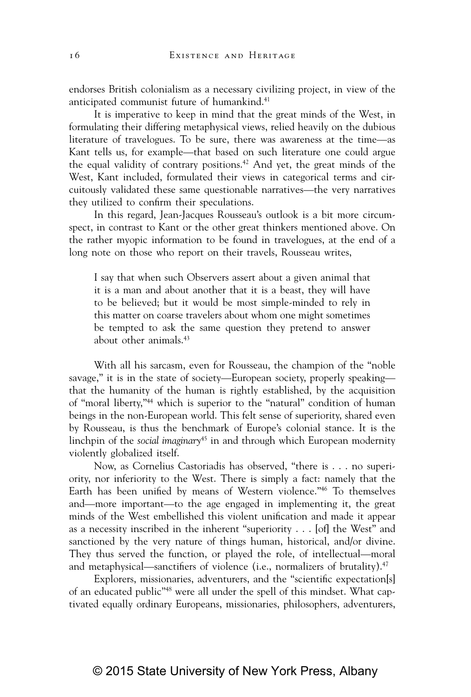endorses British colonialism as a necessary civilizing project, in view of the anticipated communist future of humankind.<sup>41</sup>

It is imperative to keep in mind that the great minds of the West, in formulating their differing metaphysical views, relied heavily on the dubious literature of travelogues. To be sure, there was awareness at the time—as Kant tells us, for example—that based on such literature one could argue the equal validity of contrary positions.<sup>42</sup> And yet, the great minds of the West, Kant included, formulated their views in categorical terms and circuitously validated these same questionable narratives—the very narratives they utilized to confirm their speculations.

In this regard, Jean-Jacques Rousseau's outlook is a bit more circumspect, in contrast to Kant or the other great thinkers mentioned above. On the rather myopic information to be found in travelogues, at the end of a long note on those who report on their travels, Rousseau writes,

I say that when such Observers assert about a given animal that it is a man and about another that it is a beast, they will have to be believed; but it would be most simple-minded to rely in this matter on coarse travelers about whom one might sometimes be tempted to ask the same question they pretend to answer about other animals.43

With all his sarcasm, even for Rousseau, the champion of the "noble savage," it is in the state of society—European society, properly speaking that the humanity of the human is rightly established, by the acquisition of "moral liberty,"44 which is superior to the "natural" condition of human beings in the non-European world. This felt sense of superiority, shared even by Rousseau, is thus the benchmark of Europe's colonial stance. It is the linchpin of the *social imaginary*<sup>45</sup> in and through which European modernity violently globalized itself.

Now, as Cornelius Castoriadis has observed, "there is . . . no superiority, nor inferiority to the West. There is simply a fact: namely that the Earth has been unified by means of Western violence."46 To themselves and—more important—to the age engaged in implementing it, the great minds of the West embellished this violent unification and made it appear as a necessity inscribed in the inherent "superiority . . . [of] the West" and sanctioned by the very nature of things human, historical, and/or divine. They thus served the function, or played the role, of intellectual—moral and metaphysical—sanctifiers of violence (i.e., normalizers of brutality).<sup>47</sup>

Explorers, missionaries, adventurers, and the "scientific expectation[s] of an educated public"48 were all under the spell of this mindset. What captivated equally ordinary Europeans, missionaries, philosophers, adventurers,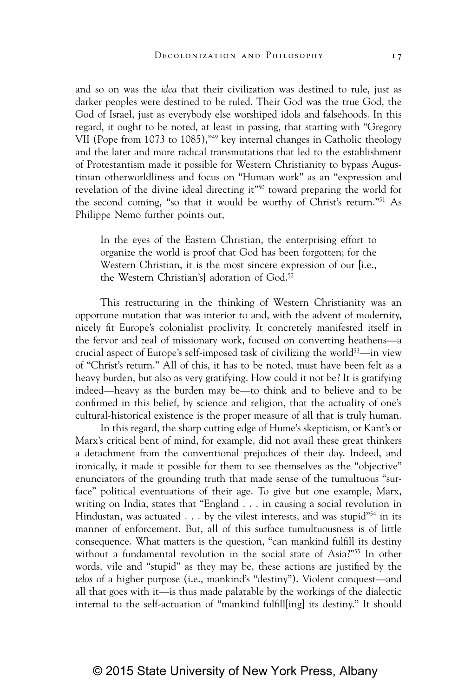and so on was the *idea* that their civilization was destined to rule, just as darker peoples were destined to be ruled. Their God was the true God, the God of Israel, just as everybody else worshiped idols and falsehoods. In this regard, it ought to be noted, at least in passing, that starting with "Gregory VII (Pope from 1073 to 1085),"49 key internal changes in Catholic theology and the later and more radical transmutations that led to the establishment of Protestantism made it possible for Western Christianity to bypass Augustinian otherworldliness and focus on "Human work" as an "expression and revelation of the divine ideal directing it"50 toward preparing the world for the second coming, "so that it would be worthy of Christ's return."51 As Philippe Nemo further points out,

In the eyes of the Eastern Christian, the enterprising effort to organize the world is proof that God has been forgotten; for the Western Christian, it is the most sincere expression of our [i.e., the Western Christian's] adoration of God.<sup>52</sup>

This restructuring in the thinking of Western Christianity was an opportune mutation that was interior to and, with the advent of modernity, nicely fit Europe's colonialist proclivity. It concretely manifested itself in the fervor and zeal of missionary work, focused on converting heathens—a crucial aspect of Europe's self-imposed task of civilizing the world<sup>53</sup>—in view of "Christ's return." All of this, it has to be noted, must have been felt as a heavy burden, but also as very gratifying. How could it not be? It is gratifying indeed—heavy as the burden may be—to think and to believe and to be confirmed in this belief, by science and religion, that the actuality of one's cultural-historical existence is the proper measure of all that is truly human.

In this regard, the sharp cutting edge of Hume's skepticism, or Kant's or Marx's critical bent of mind, for example, did not avail these great thinkers a detachment from the conventional prejudices of their day. Indeed, and ironically, it made it possible for them to see themselves as the "objective" enunciators of the grounding truth that made sense of the tumultuous "surface" political eventuations of their age. To give but one example, Marx, writing on India, states that "England . . . in causing a social revolution in Hindustan, was actuated  $\ldots$  by the vilest interests, and was stupid<sup>354</sup> in its manner of enforcement. But, all of this surface tumultuousness is of little consequence. What matters is the question, "can mankind fulfill its destiny without a fundamental revolution in the social state of Asia?"<sup>55</sup> In other words, vile and "stupid" as they may be, these actions are justified by the *telos* of a higher purpose (i.e., mankind's "destiny"). Violent conquest—and all that goes with it—is thus made palatable by the workings of the dialectic internal to the self-actuation of "mankind fulfill[ing] its destiny." It should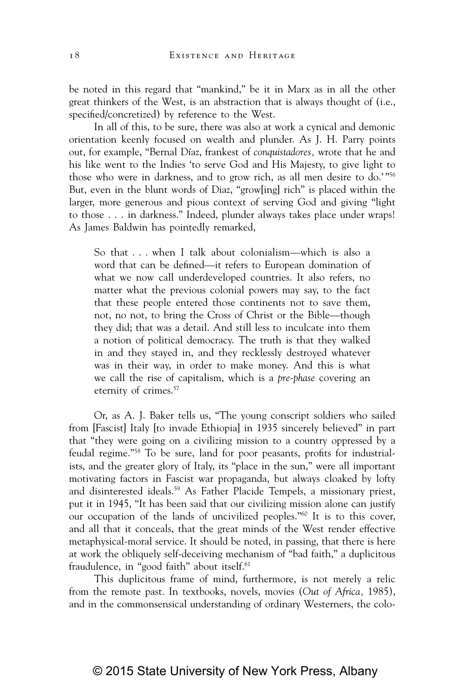be noted in this regard that "mankind," be it in Marx as in all the other great thinkers of the West, is an abstraction that is always thought of (i.e., specified/concretized) by reference to the West.

In all of this, to be sure, there was also at work a cynical and demonic orientation keenly focused on wealth and plunder. As J. H. Parry points out, for example, "Bernal Díaz, frankest of *conquistadores,* wrote that he and his like went to the Indies 'to serve God and His Majesty, to give light to those who were in darkness, and to grow rich, as all men desire to do.'"<sup>56</sup> But, even in the blunt words of Diaz, "grow[ing] rich" is placed within the larger, more generous and pious context of serving God and giving "light to those . . . in darkness." Indeed, plunder always takes place under wraps! As James Baldwin has pointedly remarked,

So that . . . when I talk about colonialism—which is also a word that can be defined—it refers to European domination of what we now call underdeveloped countries. It also refers, no matter what the previous colonial powers may say, to the fact that these people entered those continents not to save them, not, no not, to bring the Cross of Christ or the Bible—though they did; that was a detail. And still less to inculcate into them a notion of political democracy. The truth is that they walked in and they stayed in, and they recklessly destroyed whatever was in their way, in order to make money. And this is what we call the rise of capitalism, which is a *pre-phase* covering an eternity of crimes.<sup>57</sup>

Or, as A. J. Baker tells us, "The young conscript soldiers who sailed from [Fascist] Italy [to invade Ethiopia] in 1935 sincerely believed" in part that "they were going on a civilizing mission to a country oppressed by a feudal regime."58 To be sure, land for poor peasants, profits for industrialists, and the greater glory of Italy, its "place in the sun," were all important motivating factors in Fascist war propaganda, but always cloaked by lofty and disinterested ideals.<sup>59</sup> As Father Placide Tempels, a missionary priest, put it in 1945, "It has been said that our civilizing mission alone can justify our occupation of the lands of uncivilized peoples."60 It is to this cover, and all that it conceals, that the great minds of the West render effective metaphysical-moral service. It should be noted, in passing, that there is here at work the obliquely self-deceiving mechanism of "bad faith," a duplicitous fraudulence, in "good faith" about itself.<sup>61</sup>

This duplicitous frame of mind, furthermore, is not merely a relic from the remote past. In textbooks, novels, movies (*Out of Africa,* 1985), and in the commonsensical understanding of ordinary Westerners, the colo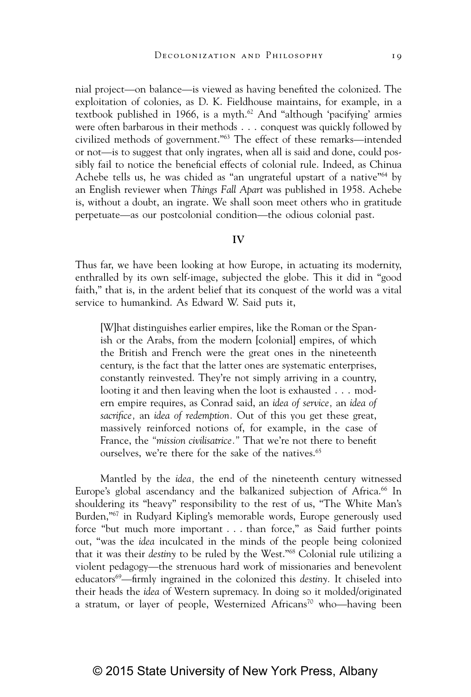nial project—on balance—is viewed as having benefited the colonized. The exploitation of colonies, as D. K. Fieldhouse maintains, for example, in a textbook published in 1966, is a myth.<sup>62</sup> And "although 'pacifying' armies were often barbarous in their methods . . . conquest was quickly followed by civilized methods of government."63 The effect of these remarks—intended or not—is to suggest that only ingrates, when all is said and done, could possibly fail to notice the beneficial effects of colonial rule. Indeed, as Chinua Achebe tells us, he was chided as "an ungrateful upstart of a native"<sup>64</sup> by an English reviewer when *Things Fall Apart* was published in 1958. Achebe is, without a doubt, an ingrate. We shall soon meet others who in gratitude perpetuate—as our postcolonial condition—the odious colonial past.

## **IV**

Thus far, we have been looking at how Europe, in actuating its modernity, enthralled by its own self-image, subjected the globe. This it did in "good faith," that is, in the ardent belief that its conquest of the world was a vital service to humankind. As Edward W. Said puts it,

[W]hat distinguishes earlier empires, like the Roman or the Spanish or the Arabs, from the modern [colonial] empires, of which the British and French were the great ones in the nineteenth century, is the fact that the latter ones are systematic enterprises, constantly reinvested. They're not simply arriving in a country, looting it and then leaving when the loot is exhausted . . . modern empire requires, as Conrad said, an *idea of service,* an *idea of sacrifice,* an *idea of redemption.* Out of this you get these great, massively reinforced notions of, for example, in the case of France, the *"mission civilisatrice."* That we're not there to benefit ourselves, we're there for the sake of the natives.<sup>65</sup>

Mantled by the *idea,* the end of the nineteenth century witnessed Europe's global ascendancy and the balkanized subjection of Africa.<sup>66</sup> In shouldering its "heavy" responsibility to the rest of us, "The White Man's Burden,"67 in Rudyard Kipling's memorable words, Europe generously used force "but much more important . . . than force," as Said further points out, "was the *idea* inculcated in the minds of the people being colonized that it was their *destiny* to be ruled by the West."68 Colonial rule utilizing a violent pedagogy—the strenuous hard work of missionaries and benevolent educators<sup>69</sup>—firmly ingrained in the colonized this *destiny*. It chiseled into their heads the *idea* of Western supremacy. In doing so it molded/originated a stratum, or layer of people, Westernized Africans<sup>70</sup> who—having been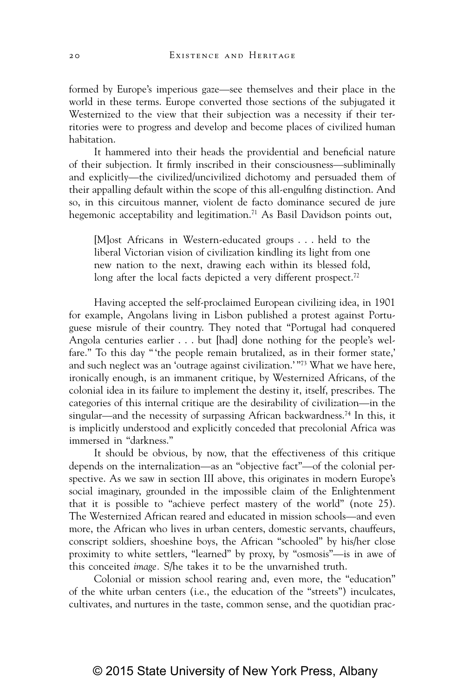formed by Europe's imperious gaze—see themselves and their place in the world in these terms. Europe converted those sections of the subjugated it Westernized to the view that their subjection was a necessity if their territories were to progress and develop and become places of civilized human habitation.

It hammered into their heads the providential and beneficial nature of their subjection. It firmly inscribed in their consciousness—subliminally and explicitly—the civilized/uncivilized dichotomy and persuaded them of their appalling default within the scope of this all-engulfing distinction. And so, in this circuitous manner, violent de facto dominance secured de jure hegemonic acceptability and legitimation.<sup>71</sup> As Basil Davidson points out,

[M]ost Africans in Western-educated groups . . . held to the liberal Victorian vision of civilization kindling its light from one new nation to the next, drawing each within its blessed fold, long after the local facts depicted a very different prospect.<sup>72</sup>

Having accepted the self-proclaimed European civilizing idea, in 1901 for example, Angolans living in Lisbon published a protest against Portuguese misrule of their country. They noted that "Portugal had conquered Angola centuries earlier . . . but [had] done nothing for the people's welfare." To this day " 'the people remain brutalized, as in their former state,' and such neglect was an 'outrage against civilization.' "73 What we have here, ironically enough, is an immanent critique, by Westernized Africans, of the colonial idea in its failure to implement the destiny it, itself, prescribes. The categories of this internal critique are the desirability of civilization—in the singular—and the necessity of surpassing African backwardness.<sup>74</sup> In this, it is implicitly understood and explicitly conceded that precolonial Africa was immersed in "darkness."

It should be obvious, by now, that the effectiveness of this critique depends on the internalization—as an "objective fact"—of the colonial perspective. As we saw in section III above, this originates in modern Europe's social imaginary, grounded in the impossible claim of the Enlightenment that it is possible to "achieve perfect mastery of the world" (note 25). The Westernized African reared and educated in mission schools—and even more, the African who lives in urban centers, domestic servants, chauffeurs, conscript soldiers, shoeshine boys, the African "schooled" by his/her close proximity to white settlers, "learned" by proxy, by "osmosis"—is in awe of this conceited *image.* S/he takes it to be the unvarnished truth.

Colonial or mission school rearing and, even more, the "education" of the white urban centers (i.e., the education of the "streets") inculcates, cultivates, and nurtures in the taste, common sense, and the quotidian prac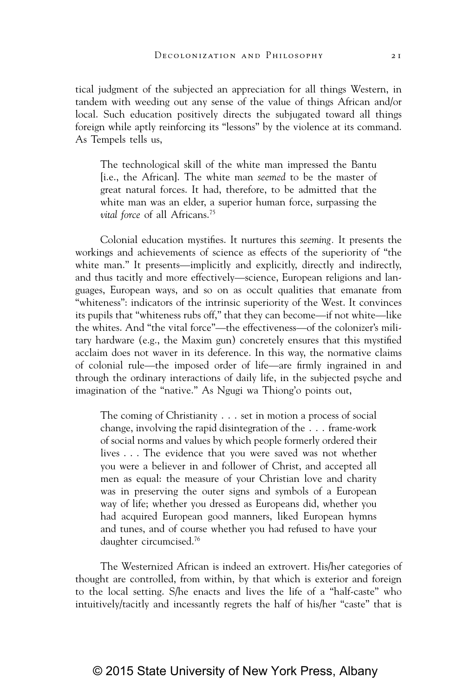tical judgment of the subjected an appreciation for all things Western, in tandem with weeding out any sense of the value of things African and/or local. Such education positively directs the subjugated toward all things foreign while aptly reinforcing its "lessons" by the violence at its command. As Tempels tells us,

The technological skill of the white man impressed the Bantu [i.e., the African]. The white man *seemed* to be the master of great natural forces. It had, therefore, to be admitted that the white man was an elder, a superior human force, surpassing the *vital force* of all Africans.75

Colonial education mystifies. It nurtures this *seeming.* It presents the workings and achievements of science as effects of the superiority of "the white man." It presents—implicitly and explicitly, directly and indirectly, and thus tacitly and more effectively—science, European religions and languages, European ways, and so on as occult qualities that emanate from "whiteness": indicators of the intrinsic superiority of the West. It convinces its pupils that "whiteness rubs off," that they can become—if not white—like the whites. And "the vital force"—the effectiveness—of the colonizer's military hardware (e.g., the Maxim gun) concretely ensures that this mystified acclaim does not waver in its deference. In this way, the normative claims of colonial rule—the imposed order of life—are firmly ingrained in and through the ordinary interactions of daily life, in the subjected psyche and imagination of the "native." As Ngugi wa Thiong'o points out,

The coming of Christianity . . . set in motion a process of social change, involving the rapid disintegration of the . . . frame-work of social norms and values by which people formerly ordered their lives . . . The evidence that you were saved was not whether you were a believer in and follower of Christ, and accepted all men as equal: the measure of your Christian love and charity was in preserving the outer signs and symbols of a European way of life; whether you dressed as Europeans did, whether you had acquired European good manners, liked European hymns and tunes, and of course whether you had refused to have your daughter circumcised.76

The Westernized African is indeed an extrovert. His/her categories of thought are controlled, from within, by that which is exterior and foreign to the local setting. S/he enacts and lives the life of a "half-caste" who intuitively/tacitly and incessantly regrets the half of his/her "caste" that is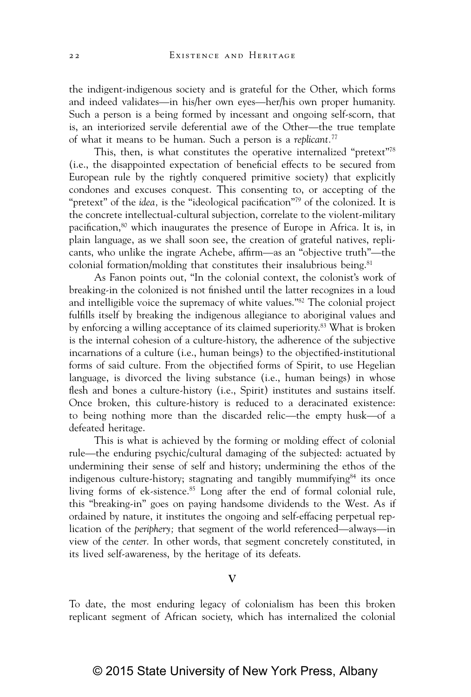the indigent-indigenous society and is grateful for the Other, which forms and indeed validates—in his/her own eyes—her/his own proper humanity. Such a person is a being formed by incessant and ongoing self-scorn, that is, an interiorized servile deferential awe of the Other—the true template of what it means to be human. Such a person is a *replicant.*<sup>77</sup>

This, then, is what constitutes the operative internalized "pretext"<sup>78</sup> (i.e., the disappointed expectation of beneficial effects to be secured from European rule by the rightly conquered primitive society) that explicitly condones and excuses conquest. This consenting to, or accepting of the "pretext" of the *idea,* is the "ideological pacification"79 of the colonized. It is the concrete intellectual-cultural subjection, correlate to the violent-military pacification,<sup>80</sup> which inaugurates the presence of Europe in Africa. It is, in plain language, as we shall soon see, the creation of grateful natives, replicants, who unlike the ingrate Achebe, affirm—as an "objective truth"—the colonial formation/molding that constitutes their insalubrious being.<sup>81</sup>

As Fanon points out, "In the colonial context, the colonist's work of breaking-in the colonized is not finished until the latter recognizes in a loud and intelligible voice the supremacy of white values."82 The colonial project fulfills itself by breaking the indigenous allegiance to aboriginal values and by enforcing a willing acceptance of its claimed superiority.<sup>83</sup> What is broken is the internal cohesion of a culture-history, the adherence of the subjective incarnations of a culture (i.e., human beings) to the objectified-institutional forms of said culture. From the objectified forms of Spirit, to use Hegelian language, is divorced the living substance (i.e., human beings) in whose flesh and bones a culture-history (i.e., Spirit) institutes and sustains itself. Once broken, this culture-history is reduced to a deracinated existence: to being nothing more than the discarded relic—the empty husk—of a defeated heritage.

This is what is achieved by the forming or molding effect of colonial rule—the enduring psychic/cultural damaging of the subjected: actuated by undermining their sense of self and history; undermining the ethos of the indigenous culture-history; stagnating and tangibly mummifying<sup>84</sup> its once living forms of ek-sistence.<sup>85</sup> Long after the end of formal colonial rule, this "breaking-in" goes on paying handsome dividends to the West. As if ordained by nature, it institutes the ongoing and self-effacing perpetual replication of the *periphery;* that segment of the world referenced—always—in view of the *center.* In other words, that segment concretely constituted, in its lived self-awareness, by the heritage of its defeats.

### **V**

To date, the most enduring legacy of colonialism has been this broken replicant segment of African society, which has internalized the colonial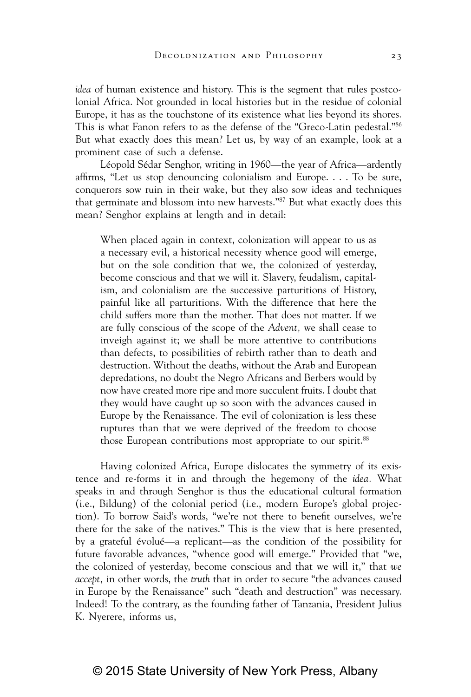*idea* of human existence and history. This is the segment that rules postcolonial Africa. Not grounded in local histories but in the residue of colonial Europe, it has as the touchstone of its existence what lies beyond its shores. This is what Fanon refers to as the defense of the "Greco-Latin pedestal."86 But what exactly does this mean? Let us, by way of an example, look at a prominent case of such a defense.

Léopold Sédar Senghor, writing in 1960—the year of Africa—ardently affirms, "Let us stop denouncing colonialism and Europe. . . . To be sure, conquerors sow ruin in their wake, but they also sow ideas and techniques that germinate and blossom into new harvests."87 But what exactly does this mean? Senghor explains at length and in detail:

When placed again in context, colonization will appear to us as a necessary evil, a historical necessity whence good will emerge, but on the sole condition that we, the colonized of yesterday, become conscious and that we will it. Slavery, feudalism, capitalism, and colonialism are the successive parturitions of History, painful like all parturitions. With the difference that here the child suffers more than the mother. That does not matter. If we are fully conscious of the scope of the *Advent,* we shall cease to inveigh against it; we shall be more attentive to contributions than defects, to possibilities of rebirth rather than to death and destruction. Without the deaths, without the Arab and European depredations, no doubt the Negro Africans and Berbers would by now have created more ripe and more succulent fruits. I doubt that they would have caught up so soon with the advances caused in Europe by the Renaissance. The evil of colonization is less these ruptures than that we were deprived of the freedom to choose those European contributions most appropriate to our spirit.<sup>88</sup>

Having colonized Africa, Europe dislocates the symmetry of its existence and re-forms it in and through the hegemony of the *idea.* What speaks in and through Senghor is thus the educational cultural formation (i.e., Bildung) of the colonial period (i.e., modern Europe's global projection). To borrow Said's words, "we're not there to benefit ourselves, we're there for the sake of the natives." This is the view that is here presented, by a grateful évolué—a replicant—as the condition of the possibility for future favorable advances, "whence good will emerge." Provided that "we, the colonized of yesterday, become conscious and that we will it," that *we accept,* in other words, the *truth* that in order to secure "the advances caused in Europe by the Renaissance" such "death and destruction" was necessary. Indeed! To the contrary, as the founding father of Tanzania, President Julius K. Nyerere, informs us,

# © 2015 State University of New York Press, Albany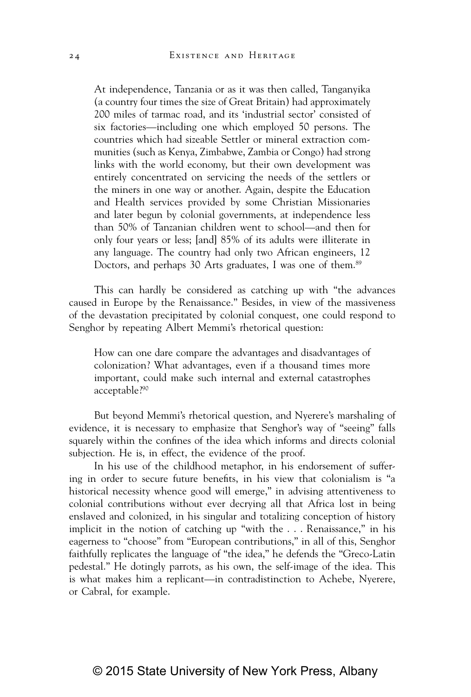At independence, Tanzania or as it was then called, Tanganyika (a country four times the size of Great Britain) had approximately 200 miles of tarmac road, and its 'industrial sector' consisted of six factories—including one which employed 50 persons. The countries which had sizeable Settler or mineral extraction communities (such as Kenya, Zimbabwe, Zambia or Congo) had strong links with the world economy, but their own development was entirely concentrated on servicing the needs of the settlers or the miners in one way or another. Again, despite the Education and Health services provided by some Christian Missionaries and later begun by colonial governments, at independence less than 50% of Tanzanian children went to school—and then for only four years or less; [and] 85% of its adults were illiterate in any language. The country had only two African engineers, 12 Doctors, and perhaps 30 Arts graduates, I was one of them.<sup>89</sup>

This can hardly be considered as catching up with "the advances caused in Europe by the Renaissance." Besides, in view of the massiveness of the devastation precipitated by colonial conquest, one could respond to Senghor by repeating Albert Memmi's rhetorical question:

How can one dare compare the advantages and disadvantages of colonization? What advantages, even if a thousand times more important, could make such internal and external catastrophes acceptable?90

But beyond Memmi's rhetorical question, and Nyerere's marshaling of evidence, it is necessary to emphasize that Senghor's way of "seeing" falls squarely within the confines of the idea which informs and directs colonial subjection. He is, in effect, the evidence of the proof.

In his use of the childhood metaphor, in his endorsement of suffering in order to secure future benefits, in his view that colonialism is "a historical necessity whence good will emerge," in advising attentiveness to colonial contributions without ever decrying all that Africa lost in being enslaved and colonized, in his singular and totalizing conception of history implicit in the notion of catching up "with the . . . Renaissance," in his eagerness to "choose" from "European contributions," in all of this, Senghor faithfully replicates the language of "the idea," he defends the "Greco-Latin pedestal." He dotingly parrots, as his own, the self-image of the idea. This is what makes him a replicant—in contradistinction to Achebe, Nyerere, or Cabral, for example.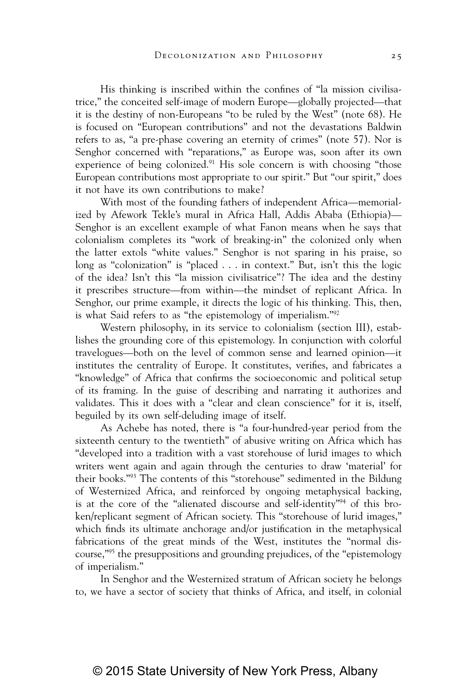His thinking is inscribed within the confines of "la mission civilisatrice," the conceited self-image of modern Europe—globally projected—that it is the destiny of non-Europeans "to be ruled by the West" (note 68). He is focused on "European contributions" and not the devastations Baldwin refers to as, "a pre-phase covering an eternity of crimes" (note 57). Nor is Senghor concerned with "reparations," as Europe was, soon after its own experience of being colonized.<sup>91</sup> His sole concern is with choosing "those European contributions most appropriate to our spirit." But "our spirit," does it not have its own contributions to make?

With most of the founding fathers of independent Africa—memorialized by Afework Tekle's mural in Africa Hall, Addis Ababa (Ethiopia)— Senghor is an excellent example of what Fanon means when he says that colonialism completes its "work of breaking-in" the colonized only when the latter extols "white values." Senghor is not sparing in his praise, so long as "colonization" is "placed . . . in context." But, isn't this the logic of the idea? Isn't this "la mission civilisatrice"? The idea and the destiny it prescribes structure—from within—the mindset of replicant Africa. In Senghor, our prime example, it directs the logic of his thinking. This, then, is what Said refers to as "the epistemology of imperialism."92

Western philosophy, in its service to colonialism (section III), establishes the grounding core of this epistemology. In conjunction with colorful travelogues—both on the level of common sense and learned opinion—it institutes the centrality of Europe. It constitutes, verifies, and fabricates a "knowledge" of Africa that confirms the socioeconomic and political setup of its framing. In the guise of describing and narrating it authorizes and validates. This it does with a "clear and clean conscience" for it is, itself, beguiled by its own self-deluding image of itself.

As Achebe has noted, there is "a four-hundred-year period from the sixteenth century to the twentieth" of abusive writing on Africa which has "developed into a tradition with a vast storehouse of lurid images to which writers went again and again through the centuries to draw 'material' for their books."93 The contents of this "storehouse" sedimented in the Bildung of Westernized Africa, and reinforced by ongoing metaphysical backing, is at the core of the "alienated discourse and self-identity"94 of this broken/replicant segment of African society. This "storehouse of lurid images," which finds its ultimate anchorage and/or justification in the metaphysical fabrications of the great minds of the West, institutes the "normal discourse,"95 the presuppositions and grounding prejudices, of the "epistemology of imperialism."

In Senghor and the Westernized stratum of African society he belongs to, we have a sector of society that thinks of Africa, and itself, in colonial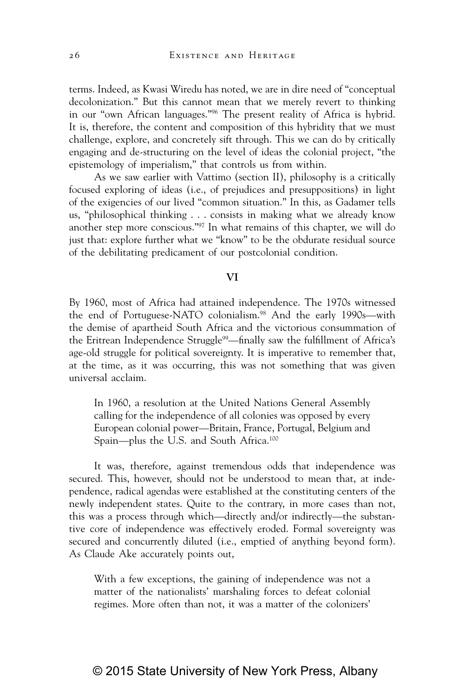terms. Indeed, as Kwasi Wiredu has noted, we are in dire need of "conceptual decolonization." But this cannot mean that we merely revert to thinking in our "own African languages."96 The present reality of Africa is hybrid. It is, therefore, the content and composition of this hybridity that we must challenge, explore, and concretely sift through. This we can do by critically engaging and de-structuring on the level of ideas the colonial project, "the epistemology of imperialism," that controls us from within.

As we saw earlier with Vattimo (section II), philosophy is a critically focused exploring of ideas (i.e., of prejudices and presuppositions) in light of the exigencies of our lived "common situation." In this, as Gadamer tells us, "philosophical thinking . . . consists in making what we already know another step more conscious."97 In what remains of this chapter, we will do just that: explore further what we "know" to be the obdurate residual source of the debilitating predicament of our postcolonial condition.

## **VI**

By 1960, most of Africa had attained independence. The 1970s witnessed the end of Portuguese-NATO colonialism.<sup>98</sup> And the early 1990s-with the demise of apartheid South Africa and the victorious consummation of the Eritrean Independence Struggle<sup>99</sup>—finally saw the fulfillment of Africa's age-old struggle for political sovereignty. It is imperative to remember that, at the time, as it was occurring, this was not something that was given universal acclaim.

In 1960, a resolution at the United Nations General Assembly calling for the independence of all colonies was opposed by every European colonial power—Britain, France, Portugal, Belgium and Spain—plus the U.S. and South Africa.<sup>100</sup>

It was, therefore, against tremendous odds that independence was secured. This, however, should not be understood to mean that, at independence, radical agendas were established at the constituting centers of the newly independent states. Quite to the contrary, in more cases than not, this was a process through which—directly and/or indirectly—the substantive core of independence was effectively eroded. Formal sovereignty was secured and concurrently diluted (i.e., emptied of anything beyond form). As Claude Ake accurately points out,

With a few exceptions, the gaining of independence was not a matter of the nationalists' marshaling forces to defeat colonial regimes. More often than not, it was a matter of the colonizers'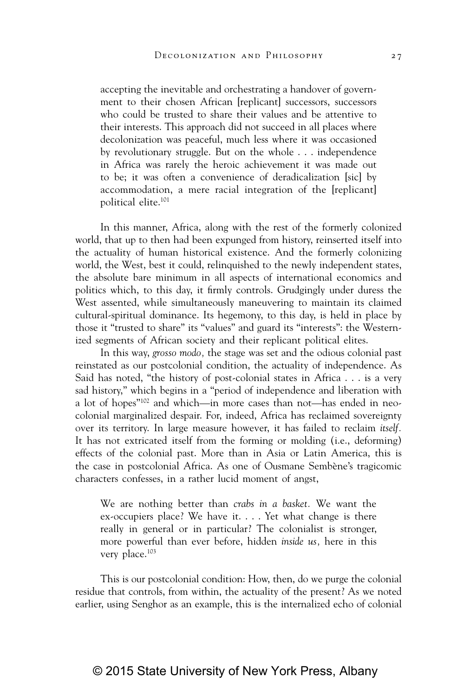accepting the inevitable and orchestrating a handover of government to their chosen African [replicant] successors, successors who could be trusted to share their values and be attentive to their interests. This approach did not succeed in all places where decolonization was peaceful, much less where it was occasioned by revolutionary struggle. But on the whole . . . independence in Africa was rarely the heroic achievement it was made out to be; it was often a convenience of deradicalization [sic] by accommodation, a mere racial integration of the [replicant] political elite.101

In this manner, Africa, along with the rest of the formerly colonized world, that up to then had been expunged from history, reinserted itself into the actuality of human historical existence. And the formerly colonizing world, the West, best it could, relinquished to the newly independent states, the absolute bare minimum in all aspects of international economics and politics which, to this day, it firmly controls. Grudgingly under duress the West assented, while simultaneously maneuvering to maintain its claimed cultural-spiritual dominance. Its hegemony, to this day, is held in place by those it "trusted to share" its "values" and guard its "interests": the Westernized segments of African society and their replicant political elites.

In this way, *grosso modo,* the stage was set and the odious colonial past reinstated as our postcolonial condition, the actuality of independence. As Said has noted, "the history of post-colonial states in Africa . . . is a very sad history," which begins in a "period of independence and liberation with a lot of hopes"102 and which—in more cases than not—has ended in neocolonial marginalized despair. For, indeed, Africa has reclaimed sovereignty over its territory. In large measure however, it has failed to reclaim *itself.* It has not extricated itself from the forming or molding (i.e., deforming) effects of the colonial past. More than in Asia or Latin America, this is the case in postcolonial Africa. As one of Ousmane Sembène's tragicomic characters confesses, in a rather lucid moment of angst,

We are nothing better than *crabs in a basket.* We want the ex-occupiers place? We have it. . . . Yet what change is there really in general or in particular? The colonialist is stronger, more powerful than ever before, hidden *inside us,* here in this very place.103

This is our postcolonial condition: How, then, do we purge the colonial residue that controls, from within, the actuality of the present? As we noted earlier, using Senghor as an example, this is the internalized echo of colonial